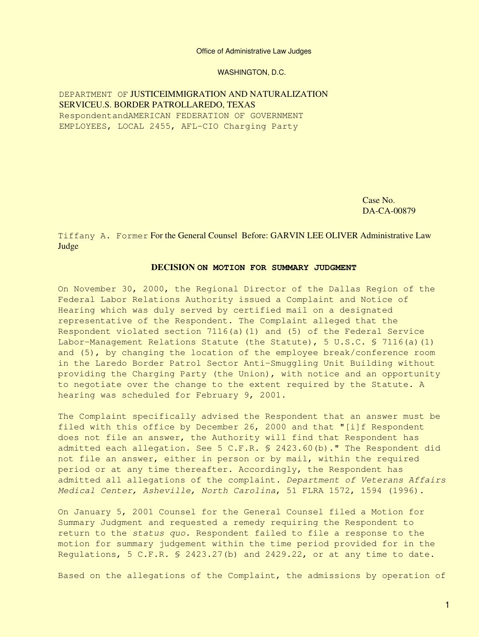#### Office of Administrative Law Judges

WASHINGTON, D.C.

# DEPARTMENT OF JUSTICEIMMIGRATION AND NATURALIZATION SERVICEU.S. BORDER PATROLLAREDO, TEXAS RespondentandAMERICAN FEDERATION OF GOVERNMENT

EMPLOYEES, LOCAL 2455, AFL-CIO Charging Party

Case No. DA-CA-00879

## Tiffany A. Former For the General Counsel Before: GARVIN LEE OLIVER Administrative Law Judge

### **DECISION ON MOTION FOR SUMMARY JUDGMENT**

On November 30, 2000, the Regional Director of the Dallas Region of the Federal Labor Relations Authority issued a Complaint and Notice of Hearing which was duly served by certified mail on a designated representative of the Respondent. The Complaint alleged that the Respondent violated section 7116(a)(1) and (5) of the Federal Service Labor-Management Relations Statute (the Statute), 5 U.S.C. § 7116(a)(1) and (5), by changing the location of the employee break/conference room in the Laredo Border Patrol Sector Anti-Smuggling Unit Building without providing the Charging Party (the Union), with notice and an opportunity to negotiate over the change to the extent required by the Statute. A hearing was scheduled for February 9, 2001.

The Complaint specifically advised the Respondent that an answer must be filed with this office by December 26, 2000 and that "[i]f Respondent does not file an answer, the Authority will find that Respondent has admitted each allegation. See 5 C.F.R. § 2423.60(b)." The Respondent did not file an answer, either in person or by mail, within the required period or at any time thereafter. Accordingly, the Respondent has admitted all allegations of the complaint. *Department of Veterans Affairs Medical Center, Asheville, North Carolina*, 51 FLRA 1572, 1594 (1996).

On January 5, 2001 Counsel for the General Counsel filed a Motion for Summary Judgment and requested a remedy requiring the Respondent to return to the *status quo*. Respondent failed to file a response to the motion for summary judgement within the time period provided for in the Regulations, 5 C.F.R. § 2423.27(b) and 2429.22, or at any time to date.

Based on the allegations of the Complaint, the admissions by operation of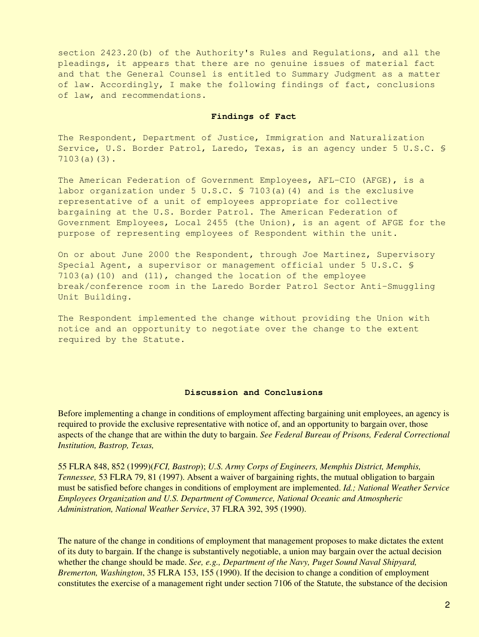section 2423.20(b) of the Authority's Rules and Regulations, and all the pleadings, it appears that there are no genuine issues of material fact and that the General Counsel is entitled to Summary Judgment as a matter of law. Accordingly, I make the following findings of fact, conclusions of law, and recommendations.

#### **Findings of Fact**

The Respondent, Department of Justice, Immigration and Naturalization Service, U.S. Border Patrol, Laredo, Texas, is an agency under 5 U.S.C. § 7103(a)(3).

The American Federation of Government Employees, AFL-CIO (AFGE), is a labor organization under 5 U.S.C. § 7103(a)(4) and is the exclusive representative of a unit of employees appropriate for collective bargaining at the U.S. Border Patrol. The American Federation of Government Employees, Local 2455 (the Union), is an agent of AFGE for the purpose of representing employees of Respondent within the unit.

On or about June 2000 the Respondent, through Joe Martinez, Supervisory Special Agent, a supervisor or management official under 5 U.S.C. §  $7103(a)(10)$  and  $(11)$ , changed the location of the employee break/conference room in the Laredo Border Patrol Sector Anti-Smuggling Unit Building.

The Respondent implemented the change without providing the Union with notice and an opportunity to negotiate over the change to the extent required by the Statute.

### **Discussion and Conclusions**

Before implementing a change in conditions of employment affecting bargaining unit employees, an agency is required to provide the exclusive representative with notice of, and an opportunity to bargain over, those aspects of the change that are within the duty to bargain. *See Federal Bureau of Prisons, Federal Correctional Institution, Bastrop, Texas,*

55 FLRA 848, 852 (1999)(*FCI, Bastrop*); *U.S. Army Corps of Engineers, Memphis District, Memphis, Tennessee,* 53 FLRA 79, 81 (1997). Absent a waiver of bargaining rights, the mutual obligation to bargain must be satisfied before changes in conditions of employment are implemented. *Id.; National Weather Service Employees Organization and U.S. Department of Commerce, National Oceanic and Atmospheric Administration, National Weather Service*, 37 FLRA 392, 395 (1990).

The nature of the change in conditions of employment that management proposes to make dictates the extent of its duty to bargain. If the change is substantively negotiable, a union may bargain over the actual decision whether the change should be made. *See, e.g., Department of the Navy, Puget Sound Naval Shipyard, Bremerton, Washington*, 35 FLRA 153, 155 (1990). If the decision to change a condition of employment constitutes the exercise of a management right under section 7106 of the Statute, the substance of the decision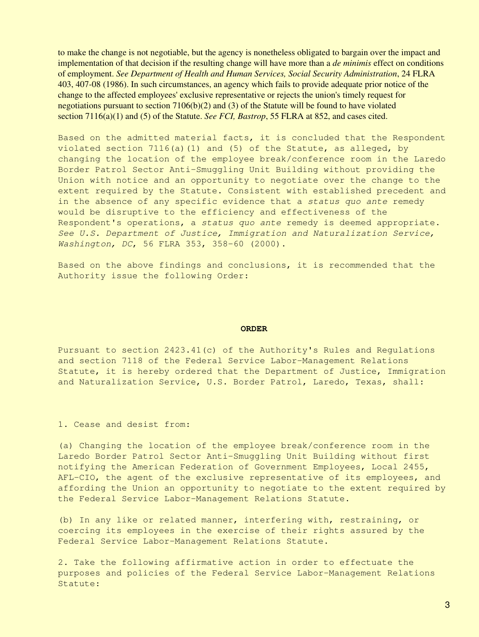to make the change is not negotiable, but the agency is nonetheless obligated to bargain over the impact and implementation of that decision if the resulting change will have more than a *de minimis* effect on conditions of employment. *See Department of Health and Human Services, Social Security Administration*, 24 FLRA 403, 407-08 (1986). In such circumstances, an agency which fails to provide adequate prior notice of the change to the affected employees' exclusive representative or rejects the union's timely request for negotiations pursuant to section  $7106(b)(2)$  and  $(3)$  of the Statute will be found to have violated section 7116(a)(1) and (5) of the Statute. *See FCI, Bastrop*, 55 FLRA at 852, and cases cited.

Based on the admitted material facts, it is concluded that the Respondent violated section 7116(a)(1) and (5) of the Statute, as alleged, by changing the location of the employee break/conference room in the Laredo Border Patrol Sector Anti-Smuggling Unit Building without providing the Union with notice and an opportunity to negotiate over the change to the extent required by the Statute. Consistent with established precedent and in the absence of any specific evidence that a *status quo ante* remedy would be disruptive to the efficiency and effectiveness of the Respondent's operations, a *status quo ante* remedy is deemed appropriate. *See U.S. Department of Justice, Immigration and Naturalization Service, Washington, DC*, 56 FLRA 353, 358-60 (2000).

Based on the above findings and conclusions, it is recommended that the Authority issue the following Order:

#### **ORDER**

Pursuant to section 2423.41(c) of the Authority's Rules and Regulations and section 7118 of the Federal Service Labor-Management Relations Statute, it is hereby ordered that the Department of Justice, Immigration and Naturalization Service, U.S. Border Patrol, Laredo, Texas, shall:

1. Cease and desist from:

(a) Changing the location of the employee break/conference room in the Laredo Border Patrol Sector Anti-Smuggling Unit Building without first notifying the American Federation of Government Employees, Local 2455, AFL-CIO, the agent of the exclusive representative of its employees, and affording the Union an opportunity to negotiate to the extent required by the Federal Service Labor-Management Relations Statute.

(b) In any like or related manner, interfering with, restraining, or coercing its employees in the exercise of their rights assured by the Federal Service Labor-Management Relations Statute.

2. Take the following affirmative action in order to effectuate the purposes and policies of the Federal Service Labor-Management Relations Statute: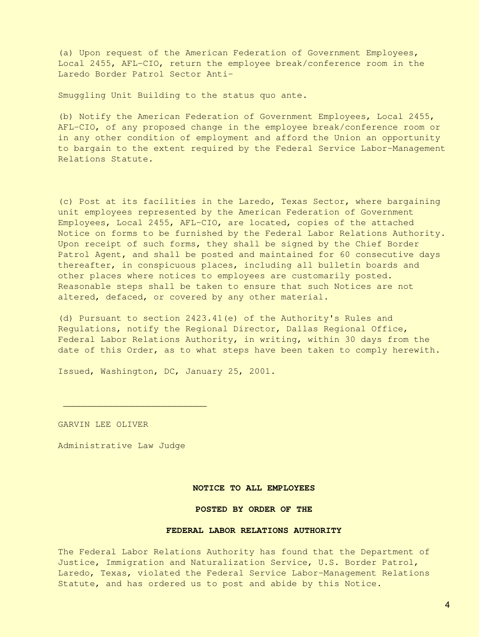(a) Upon request of the American Federation of Government Employees, Local 2455, AFL-CIO, return the employee break/conference room in the Laredo Border Patrol Sector Anti-

Smuggling Unit Building to the status quo ante.

(b) Notify the American Federation of Government Employees, Local 2455, AFL-CIO, of any proposed change in the employee break/conference room or in any other condition of employment and afford the Union an opportunity to bargain to the extent required by the Federal Service Labor-Management Relations Statute.

(c) Post at its facilities in the Laredo, Texas Sector**,** where bargaining unit employees represented by the American Federation of Government Employees, Local 2455, AFL-CIO, are located, copies of the attached Notice on forms to be furnished by the Federal Labor Relations Authority. Upon receipt of such forms, they shall be signed by the Chief Border Patrol Agent, and shall be posted and maintained for 60 consecutive days thereafter, in conspicuous places, including all bulletin boards and other places where notices to employees are customarily posted. Reasonable steps shall be taken to ensure that such Notices are not altered, defaced, or covered by any other material.

(d) Pursuant to section 2423.41(e) of the Authority's Rules and Regulations, notify the Regional Director, Dallas Regional Office, Federal Labor Relations Authority, in writing, within 30 days from the date of this Order, as to what steps have been taken to comply herewith.

Issued, Washington, DC, January 25, 2001.

GARVIN LEE OLIVER

Administrative Law Judge

 $\overline{\phantom{a}}$  , which is a set of the set of the set of the set of the set of the set of the set of the set of the set of the set of the set of the set of the set of the set of the set of the set of the set of the set of th

#### **NOTICE TO ALL EMPLOYEES**

**POSTED BY ORDER OF THE**

#### **FEDERAL LABOR RELATIONS AUTHORITY**

The Federal Labor Relations Authority has found that the Department of Justice, Immigration and Naturalization Service, U.S. Border Patrol, Laredo, Texas, violated the Federal Service Labor-Management Relations Statute, and has ordered us to post and abide by this Notice.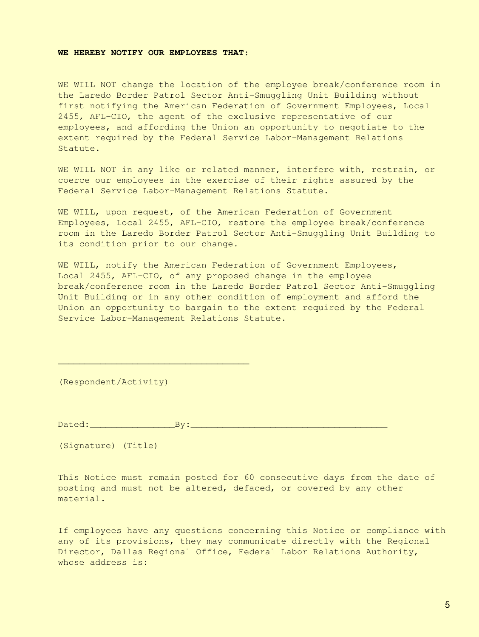### **WE HEREBY NOTIFY OUR EMPLOYEES THAT**:

WE WILL NOT change the location of the employee break/conference room in the Laredo Border Patrol Sector Anti-Smuggling Unit Building without first notifying the American Federation of Government Employees, Local 2455, AFL-CIO, the agent of the exclusive representative of our employees, and affording the Union an opportunity to negotiate to the extent required by the Federal Service Labor-Management Relations Statute.

WE WILL NOT in any like or related manner, interfere with, restrain, or coerce our employees in the exercise of their rights assured by the Federal Service Labor-Management Relations Statute.

WE WILL, upon request, of the American Federation of Government Employees, Local 2455, AFL-CIO, restore the employee break/conference room in the Laredo Border Patrol Sector Anti-Smuggling Unit Building to its condition prior to our change.

WE WILL, notify the American Federation of Government Employees, Local 2455, AFL-CIO, of any proposed change in the employee break/conference room in the Laredo Border Patrol Sector Anti-Smuggling Unit Building or in any other condition of employment and afford the Union an opportunity to bargain to the extent required by the Federal Service Labor-Management Relations Statute.

(Respondent/Activity)

\_\_\_\_\_\_\_\_\_\_\_\_\_\_\_\_\_\_\_\_\_\_\_\_\_\_\_\_\_\_\_\_\_\_\_\_

Dated:\_\_\_\_\_\_\_\_\_\_\_\_\_\_\_\_By:\_\_\_\_\_\_\_\_\_\_\_\_\_\_\_\_\_\_\_\_\_\_\_\_\_\_\_\_\_\_\_\_\_\_\_\_\_

(Signature) (Title)

This Notice must remain posted for 60 consecutive days from the date of posting and must not be altered, defaced, or covered by any other material.

If employees have any questions concerning this Notice or compliance with any of its provisions, they may communicate directly with the Regional Director, Dallas Regional Office, Federal Labor Relations Authority, whose address is: